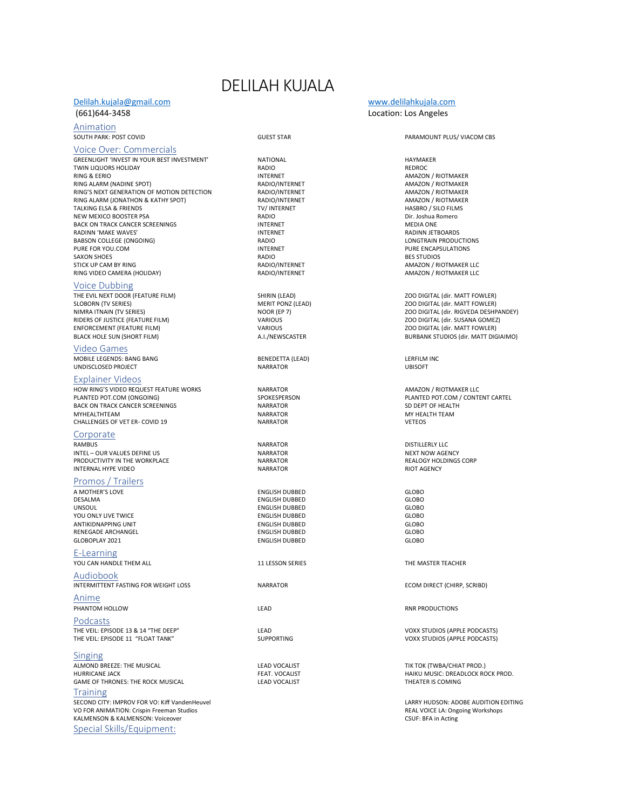# DELILAH KUJALA

### [Delilah.kujala@gmail.com](mailto:Delilah.kujala@gmail.com) [www.delilahkujala.com](http://www.delilahkujala.com/) (661)644-3458 Location: Los Angeles

**Animation**<br>SOUTH PARK: POST COVID

### Voice Over: Commercials

GREENLIGHT 'INVEST IN YOUR BEST INVESTMENT' NATIONAL NATIONAL CHEENLIGHT IN HAYMAKER<br>TWIN LIQUORS HOLIDAY NATIONAL RADIO RADIO TWIN LIQUORS HOLIDAY **Example 2014** TWIN LIQUORS HOLIDAY **RADIO**<br>RING & EERIO **RING** RING ALARM (NADINE SPOT)<br>RING'S NEXT GENERATION OF MOTION DETECTION RADIO/INTERNET AMAZON / RIOTMAKER AMAZON / RIOTMAKER RING'S NEXT GENERATION OF MOTION DETECTION RADIO/INTERNET AMAZON / RIOTMAKER<br>RING ALARM (JONATHON & KATHY SPOT) RADIO/INTERNET AMAZON / RIOTMAKER RING ALARM (JONATHON & KATHY SPOT) RADIO/INTERNET AMAZON / RIOTMAKER TALKING ELSA & FRIENDS TO THE TRANSPORT TO THE TRANSPORT TO THE RESERVED ON THE RESERVED ON THE TRANSPORT OF T<br>THE TRANSPORT TO THE TRANSPORT TO THE TRANSPORT TO THE TRANSPORT OF THE TRANSPORT OF THE TRANSPORT OF THE TRA NEW MEXICO BOOSTER PSA RADIO RADIO RADIO RADIO DIT. Joshua R<br>BACK ON TRACK CANCER SCREENINGS DIRECT DIRECT DIRECT RESIDENT ON THE MEDIA ONE en and the state of the state of the state of the state of the state of the state of the state of the state of<br>INTERNET THE STAND ONE SERIES AND THE STAND ONE OF THE STAND ONE OF THE STADING STADING STADING STADING STANDA e and the matter of the matter of the matter of the matter of the matter of the matter of the matter of the ma<br>INTERNET RADIO And the matter of the matter of the matter of the matter of the matter of the matter of the mat<br> BABSON COLLEGE (ONGOING)<br>
PURE FOR YOU.COM<br>
INTERNET PURE FOR YOU.COM INTERNET PURE ENCAPSULATIONS SAXON SHOES RADIO BES STUDIOS STICK UP CAM BY RING<br>RING VIDEO CAMERA (HOLIDAY) THE RADIO/INTERNET THE RADIO/INTERNET AMAZON / RIOTMAKER LLC RING VIDEO CAMERA (HOLIDAY)

Voice Dubbing<br>THE EVIL NEXT DOOR (FEATURE FILM) THE EVIL NEXT DOOR (FEATURE FILM) SHIRIN (LEAD) ZOO DIGITAL (dir. MATT FOWLER) RIDERS OF JUSTICE (FEATURE FILM)<br>ENFORCEMENT (FEATURE FILM) ENFORCEMENT (FEATURE FILM) VARIOUS ZOO DIGITAL (dir. MATT FOWLER)

## Video Games

MOBILE LEGENDS: BANG BANG BENEDETTA (LEAD) LERFILM INC UNDISCLOSED PROJECT

### Explainer Videos

HOW RING'S VIDEO REQUEST FEATURE WORKS NARRATOR AMAZON / RIOTMAKER LLC BACK ON TRACK CANCER SCREENINGS<br>MYHEALTHTEAM NARRATOR NARRATOR NARRATOR NARRATOR MY HEALTH TEAM MYHEALTHTEAM NARRATOR MY HEALTH TEAM CHALLENGES OF VET ER- COVID 19 NARRATOR VETEOS

Corporate<br>RAMBUS INTEL – OUR VALUES DEFINE US NARRATOR NARRATOR NEXT NOW AGENCY NEXT NOW AGENCY NARRATOR NEXT NOW AGENCY NARRATOR<br>IN ARRADORT PRODUCTIVITY IN THE WORKPLACE NARRATOR NARRATOR NARRATOR NARRATOR NARRATOR NARRATOR NARRATOR NARR PRODUCTIVITY IN THE WORKPLACE THE SERIES OF THE REALOGY HOLDINGS ARRATOR AND REAL ASSESSED OF THE RIGHT AGENCY<br>INTERNAL HYPE VIDEO INTERNAL HYPE VIDEO

### Promos / Trailers

A MOTHER'S LOVE ENGLISH DUBBED GLOBO DESALMA ENGLISH DUBBED GLOBO YOU ONLY LIVE TWICE ENGLISH DUBBED GLOBO ANTIKIDNAPPING UNIT ENGLISH DUBBED GLOBO RENEGADE ARCHANGEL ENGLISH DUBBED GLOBO

E-Learning YOU CAN HANDLE THEM ALL **11 LESSON SERIES** THE MASTER TEACHER

Audiobook INTERMITTENT FASTING FOR WEIGHT LOSS NARRATOR ECOM DIRECT (CHIRP, SCRIBD)

**Anime**<br>**PHANTOM HOLLOW** 

Podcasts THE VEIL: EPISODE 13 & 14 "THE DEEP" LEAD LEAD LEAD LEAD VOXX STUDIOS (APPLE PODCASTS)<br>THE VEIL: EPISODE 11 "FLOAT TANK" SUPPORTING SUPPORTING VOXX STUDIOS (APPLE PODCASTS) THE VEIL: EPISODE 11 "FLOAT TANK"

Singing ALMOND BREEZE: THE MUSICAL EXAMPLE AND THE LEAD VOCALIST THE SERVICE OF THE TOK (TWBA/CHIAT PROD.)<br>HURRICANE JACK EXAMPLE OF THE SERVICE OF THE SERVICE OF THE SERVICE OF THE SERVICE OF THE HAIKU MUSIC: DREADLOCK RC GAME OF THRONES: THE ROCK MUSICAL

**Training** SECOND CITY: IMPROV FOR VO: Kiff VandenHeuvel LARRY HUDSON: ADOBE AUDITION EDITING VO FOR ANIMATION: Crispin Freeman Studios and Studios and Studios REAL VOICE LA: Ongoing Workshops and REAL VOICE LA: Ongoing Workshops and REAL VOICE LA: Ongoing Workshops and Real VOICE LA: Ongoing Workshops and Real VOI KALMENSON & KALMENSON: Voiceover Special Skills/Equipment:

ENGLISH DUBBED<br>ENGLISH DUBBED GLOBO ENGLISH DUBBED

### GUEST STAR **COVID-10 COVID-10 COVID-10 COVID-10 PARAMOUNT PLUS/ VIACOM CBS**

INTERNET<br>RADIO/INTERNET FRAGION AMAZON / RIOTMAKER

ZOO DIGITAL (dir. MATT FOWLER) NIMRA ITNAIN (TV SERIES) NOOR (EP 7) NOOR (EP 7) NOOR (EP 7) 200 DIGITAL (dir. RIGVEDA DESHPANDEY)<br>RIDERS OF JUSTICE (FEATURE FILM) YARIOUS VARIOUS VARIOUS VARIOUS 200 DIGITAL (dir. SUSANA GOMEZ) BURBANK STUDIOS (dir. MATT DIGIAIMO)

**PLANTED POT.COM / CONTENT CARTEL**<br>
SPOKESPERSON PLANTED POT.COM / CONTENT CARTEL<br>
SD DEPT OF HEALTH

MARRATOR EXAMPLE IN THE RESEARCH OF STRUCK ON A DISTILLERLY LLCCHER WAS A MEAN ON A SERIES OF STRUCK AND MALLE<br>RESEARCH OF STRUCK AND THE RESEARCH OF STRUCK AND MALLER WAS A MALLER WAS A MALLER WAS A MALLER WAS A MALLER W<br>

PHANTOM HOLLOW **Example 20 and 20 and 20 and 20 and 20 and 20 and 20 and 20 and 20 and 20 and 20 and 20 and 20 and 20 and 20 and 20 and 20 and 20 and 20 and 20 and 20 and 20 and 20 and 20 and 20 and 20 and 20 and 20 and 20** 

FEAT. VOCALIST THE SEAT. THE HAIKU MUSIC: DREADLOCK ROCK PROD.<br>THEATER IS COMING